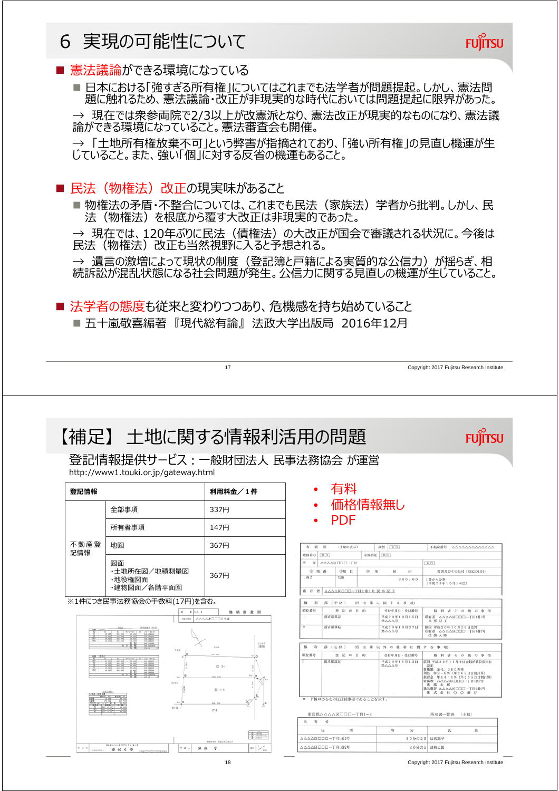## 6 実現の可能性について

## ■ 憲法議論ができる環境になっている

■ 日本における「強すぎる所有権」についてはこれまでも法学者が問題提起。しかし、憲法問 題に触れるため、憲法議論・改正が非現実的な時代においては問題提起に限界があった。

→ 現在では衆参両院で2/3以上が改憲派となり、憲法改正が現実的なものになり、憲法議 論ができる環境になっていること。憲法審査会も開催。

→ 「土地所有権放棄不可」という弊害が指摘されており、「強い所有権」の見直し機運が生 じていること。また、強い「個」に対する反省の機運もあること。

■ 民法(物権法)改正の現実味があること

■ 物権法の矛盾・不整合については、これまでも民法 (家族法) 学者から批判。しかし、民 法(物権法)を根底から覆す大改正は非現実的であった。

→ 現在では、120年ぶりに民法(債権法)の大改正が国会で審議される状況に。今後は 民法(物権法)改正も当然視野に入ると予想される。

→ 遺言の激増によって現状の制度 (登記簿と戸籍による実質的な公信力) が揺らぎ、相 続訴訟が混乱状態になる社会問題が発生。公信力に関する見直しの機運が生じていること。

■ 法学者の態度も従来と変わりつつあり、危機感を持ち始めていること

17

■ 五十嵐敬喜編著 『現代総有論』 法政大学出版局 2016年12月

【補足】 土地に関する情報利活用の問題

登記情報提供サービス:一般財団法人 民事法務協会 が運営 http://www1.touki.or.jp/gateway.html

| 登記情報                      |                                             | 利用料金/1件     |  |  |
|---------------------------|---------------------------------------------|-------------|--|--|
| 不動産登<br>記情報               | 全部事項                                        | <b>337円</b> |  |  |
|                           | 所有者事項                                       | 147円        |  |  |
|                           | 地図                                          | 367円        |  |  |
|                           | 図面<br>・土地所在図/地積測量図<br>・地役権図面<br>・建物図面/各階平面図 | 367円        |  |  |
| ※1件につき民事法務協会の手数料(17円)を含む。 |                                             |             |  |  |

 $a|a$ 地積測量図  $\frac{11-1}{100}$  $CD$  15-1  $_{\rm A\,AA}$  $0.14$  $17 - 1$  $8 + 1$ 法县  $\ddot{a}$ 参記太良

- 有料
- 価格情報無し
- PDF

| 表顶             | 压<br>(土地の表示) |           | 【余直】<br>10195                 | 不動産番号<br>444444444444                                                                                                                                            |
|----------------|--------------|-----------|-------------------------------|------------------------------------------------------------------------------------------------------------------------------------------------------------------|
| 地図番号 【奈白】      |              | 第界特定 [金百] |                               |                                                                                                                                                                  |
| 所<br>TE.       | AAAAKOOD-TH  |           |                               | 余自                                                                                                                                                               |
| ① 地 番          | ②地 日         | (6) 接     | 精<br>m <sup>2</sup>           | 原因及びその日付〔登記の日付〕                                                                                                                                                  |
| $1$ $82$       | 宇焼           |           | 300:00<br>$\sim$              | 1番から分策<br>[平成20年10月14日]                                                                                                                                          |
| 所有者            |              |           |                               |                                                                                                                                                                  |
| 极<br>利         | 部(甲区)。       |           | (所有権に関する事項)                   |                                                                                                                                                                  |
| 順位番号           | 株 記 の 目 的    |           | 受付年月日、受付番号                    | 権利者その他の事項                                                                                                                                                        |
| T.             | 所有権保存        |           | 平成20年10月15日<br>第八八八号          | 所有者 △△△△区口口口一丁目1番1号<br>民事記子                                                                                                                                      |
| $\overline{2}$ | 所有模移転        |           | 平成20年10月27日<br>第八八八号          | 原因 平成20年10月26日売買<br>所有者 △△△△区口口口一丁日1番2号<br>法務太郎                                                                                                                  |
| 権<br>利         | 部(乙区)        |           | (所 有 権 以 外 の 権 利 に 関 す る 事 項) |                                                                                                                                                                  |
| 顺位番号           | 登記の日的        |           | 受付年月日、受付番号                    | 権利者その他の事項                                                                                                                                                        |
|                | 纸当模却定        |           | 平成20年11月12日<br>第八八八号          | 原因 平成20年11月4日金銭消費貸借同日<br>設定<br>情権額 金4.000万円<br>利息 年2、6% (年365日日割計算)<br>損害金 年14・5% (年365日日割計算)<br>債務者 △△△△区口口口一丁日1番2号<br>法路太郎<br>抵当権者 △△△△区□□□一丁目1番6号<br>株式会社〇〇銀行 |

東京都△△△△区□□□一丁目1- $\overline{u}$ AAAAKOOD-TRIS25 30分の25 1000区口口口一丁円1番2号 30分の5 法務太郎

18 Copyright 2017 Fujitsu Research Institute

Copyright 2017 Fujitsu Research Institute

**FUILTSU** 

**FUJITSU**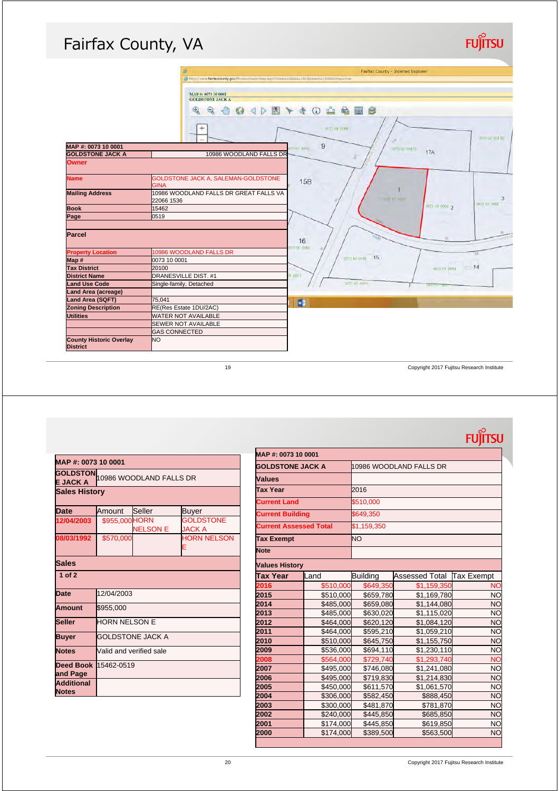## Fairfax County, VA

|                                | ø                                                                                            | Fairfax County - Internet Explorer |  |  |
|--------------------------------|----------------------------------------------------------------------------------------------|------------------------------------|--|--|
|                                | http://icare.fairfaxcounty.gov/fbcare/maps/map.aspx?sIndexw38itx=18LMparentw1365fullmap=true |                                    |  |  |
|                                |                                                                                              |                                    |  |  |
|                                | MAP #: 0073 10 0001                                                                          |                                    |  |  |
|                                | <b>GOLDSTONE JACK A</b>                                                                      |                                    |  |  |
|                                | $^{\circ}$<br>$\mathcal{P}$<br>$\sqrt{m}$<br>√♪画→き<br>$\omega$                               | 台站区<br>$\odot$<br>s                |  |  |
|                                |                                                                                              |                                    |  |  |
|                                | $\pm$                                                                                        | <b>COLLAR DOUGLA</b>               |  |  |
|                                |                                                                                              | corpor col 7D                      |  |  |
| MAP #: 0073 10 0001            |                                                                                              | 9<br>301,000                       |  |  |
| <b>GOLDSTONE JACK A</b>        | 10986 WOODLAND FALLS DR                                                                      | 2007/02/20017<br><b>17A</b><br>×   |  |  |
| <b>Owner</b>                   |                                                                                              |                                    |  |  |
|                                |                                                                                              |                                    |  |  |
| <b>Name</b>                    | GOLDSTONE JACK A, SALEMAN-GOLDSTONE                                                          |                                    |  |  |
|                                | <b>GINA</b>                                                                                  | 15B                                |  |  |
| <b>Mailing Address</b>         | 10986 WOODLAND FALLS DR GREAT FALLS VA                                                       |                                    |  |  |
|                                | 22066 1536                                                                                   | 3<br>vol.1 10, 6001<br>0073 10 000 |  |  |
| <b>Book</b>                    | 15462                                                                                        | 0073 10 0002 2                     |  |  |
| Page                           | 0519                                                                                         |                                    |  |  |
|                                |                                                                                              |                                    |  |  |
| Parcel                         |                                                                                              | 155                                |  |  |
|                                |                                                                                              | <b>DO</b><br>16                    |  |  |
| <b>Property Location</b>       | 10986 WOODLAND FALLS DR                                                                      | 73 01 0016                         |  |  |
| Map #                          | 0073 10 0001                                                                                 | B <sub>2</sub><br>007110-0016 15   |  |  |
| <b>Tax District</b>            | 20100                                                                                        | 14<br>0073 10 0014                 |  |  |
| <b>District Name</b>           | <b>DRANESVILLE DIST. #1</b>                                                                  | 1.0017                             |  |  |
| <b>Land Use Code</b>           | Single-family, Detached                                                                      | DOTE OF 2030<br>$(317 + 1)$        |  |  |
| <b>Land Area (acreage)</b>     |                                                                                              |                                    |  |  |
| Land Area (SQFT)               | 75.041                                                                                       | $W_1$                              |  |  |
| <b>Zoning Description</b>      | RE(Res Estate 1DU/2AC)                                                                       |                                    |  |  |
| <b>Utilities</b>               | <b>WATER NOT AVAILABLE</b>                                                                   |                                    |  |  |
|                                | <b>SEWER NOT AVAILABLE</b>                                                                   |                                    |  |  |
|                                | <b>GAS CONNECTED</b>                                                                         |                                    |  |  |
| <b>County Historic Overlay</b> | <b>NO</b>                                                                                    |                                    |  |  |
| <b>District</b>                |                                                                                              |                                    |  |  |

19 Copyright 2017 Fujitsu Research Institute

**FUJITSU** 

**FUJITSU** 

|                                         | MAP #: 0073 10 0001              |                 |                                   |  |
|-----------------------------------------|----------------------------------|-----------------|-----------------------------------|--|
| <b>E JACK A</b>                         | GOLDSTON 10986 WOODLAND FALLS DR |                 |                                   |  |
| <b>Sales History</b>                    |                                  |                 |                                   |  |
| <b>Date</b>                             | Amount                           | Seller          | Buyer                             |  |
| 12/04/2003                              | \$955,000 HORN                   | <b>NELSON E</b> | <b>GOLDSTONE</b><br><b>JACK A</b> |  |
| 08/03/1992                              | \$570,000                        |                 | <b>HORN NELSON</b><br>E           |  |
| <b>Sales</b>                            |                                  |                 |                                   |  |
| 1 <sub>of</sub> 2                       |                                  |                 |                                   |  |
| <b>Date</b>                             | 12/04/2003                       |                 |                                   |  |
| <b>Amount</b>                           | \$955,000                        |                 |                                   |  |
| <b>Seller</b>                           | <b>HORN NELSON E</b>             |                 |                                   |  |
| <b>Buyer</b>                            | <b>GOLDSTONE JACK A</b>          |                 |                                   |  |
| <b>Notes</b>                            | Valid and verified sale          |                 |                                   |  |
| <b>Deed Book 15462-0519</b><br>and Page |                                  |                 |                                   |  |
| <b>Additional</b><br><b>Notes</b>       |                                  |                 |                                   |  |

| MAP #: 0073 10 0001           |           |                         |                           |           |  |
|-------------------------------|-----------|-------------------------|---------------------------|-----------|--|
| <b>GOLDSTONE JACK A</b>       |           | 10986 WOODLAND FALLS DR |                           |           |  |
| <b>Values</b>                 |           |                         |                           |           |  |
| Tax Year                      |           | 2016                    |                           |           |  |
| <b>Current Land</b>           |           | \$510,000               |                           |           |  |
| <b>Current Building</b>       |           | \$649,350               |                           |           |  |
| <b>Current Assessed Total</b> |           | \$1,159,350             |                           |           |  |
| <b>Tax Exempt</b>             |           | ΝO                      |                           |           |  |
| Note                          |           |                         |                           |           |  |
| <b>Values History</b>         |           |                         |                           |           |  |
| <b>Tax Year</b>               | _and      | <b>Building</b>         | Assessed Total Tax Exempt |           |  |
| 2016                          | \$510,000 | \$649,350               | \$1,159,350               | <b>NO</b> |  |
| 2015                          | \$510,000 | \$659,780               | \$1,169,780               | <b>NO</b> |  |
| 2014                          | \$485,000 | \$659,080               | \$1,144,080               | <b>NO</b> |  |
| 2013                          | \$485,000 | \$630,020               | \$1,115,020               | <b>NO</b> |  |
| 2012                          | \$464,000 | \$620,120               | \$1,084,120               | <b>NO</b> |  |
| 2011                          | \$464,000 | \$595,210               | \$1,059,210               | <b>NO</b> |  |
| 2010                          | \$510,000 | \$645,750               | \$1,155,750               | <b>NO</b> |  |
| 2009                          | \$536,000 | \$694,110               | \$1,230,110               | <b>NO</b> |  |
| 2008                          | \$564,000 | \$729,740               | \$1,293,740               | <b>NO</b> |  |
| 2007                          | \$495,000 | \$746,080               | \$1,241,080               | <b>NO</b> |  |
| 2006                          | \$495,000 | \$719,830               | \$1,214,830               | <b>NO</b> |  |
| 2005                          | \$450,000 | \$611,570               | \$1,061,570               | <b>NO</b> |  |
| 2004                          | \$306,000 | \$582,450               | \$888,450                 | <b>NO</b> |  |
| 2003                          | \$300,000 | \$481,870               | \$781,870                 | <b>NO</b> |  |
| 2002                          | \$240,000 | \$445,850               | \$685,850                 | <b>NO</b> |  |
| 2001                          | \$174,000 | \$445,850               | \$619,850                 | <b>NO</b> |  |
| 2000                          | \$174,000 | \$389,500               | \$563,500                 | <b>NO</b> |  |
|                               |           |                         |                           |           |  |